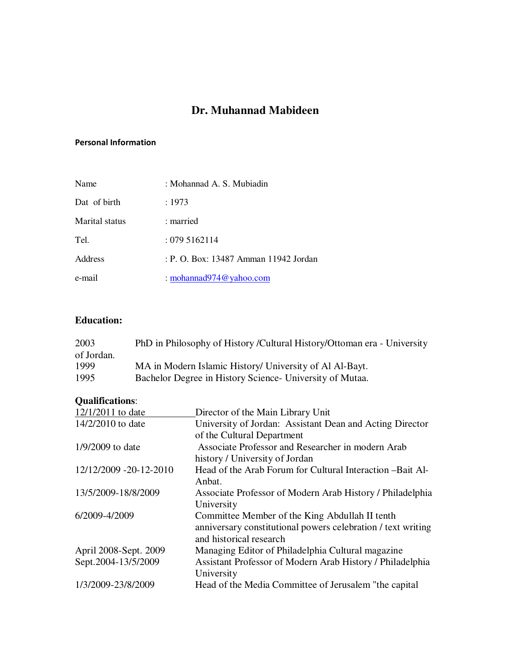# **Dr. Muhannad Mabideen**

#### Personal Information

| Name                  | : Mohannad A. S. Mubiadin             |
|-----------------------|---------------------------------------|
| Dat of birth          | :1973                                 |
| <b>Marital</b> status | : married                             |
| Tel.                  | : 0795162114                          |
| Address               | : P. O. Box: 13487 Amman 11942 Jordan |
| e-mail                | : mohannad974@yahoo.com               |

# **Education:**

| 2003       | PhD in Philosophy of History/Cultural History/Ottoman era - University |
|------------|------------------------------------------------------------------------|
| of Jordan. |                                                                        |
| 1999       | MA in Modern Islamic History/ University of Al Al-Bayt.                |
| 1995       | Bachelor Degree in History Science - University of Mutaa.              |

# **Qualifications**:

| 12/1/2011 to date      | Director of the Main Library Unit                            |
|------------------------|--------------------------------------------------------------|
| 14/2/2010 to date      | University of Jordan: Assistant Dean and Acting Director     |
|                        | of the Cultural Department                                   |
| 1/9/2009 to date       | Associate Professor and Researcher in modern Arab            |
|                        | history / University of Jordan                               |
| 12/12/2009 -20-12-2010 | Head of the Arab Forum for Cultural Interaction -Bait Al-    |
|                        | Anbat.                                                       |
| 13/5/2009-18/8/2009    | Associate Professor of Modern Arab History / Philadelphia    |
|                        | University                                                   |
| 6/2009-4/2009          | Committee Member of the King Abdullah II tenth               |
|                        | anniversary constitutional powers celebration / text writing |
|                        | and historical research                                      |
| April 2008-Sept. 2009  | Managing Editor of Philadelphia Cultural magazine            |
| Sept.2004-13/5/2009    | Assistant Professor of Modern Arab History / Philadelphia    |
|                        | University                                                   |
| 1/3/2009-23/8/2009     | Head of the Media Committee of Jerusalem "the capital"       |
|                        |                                                              |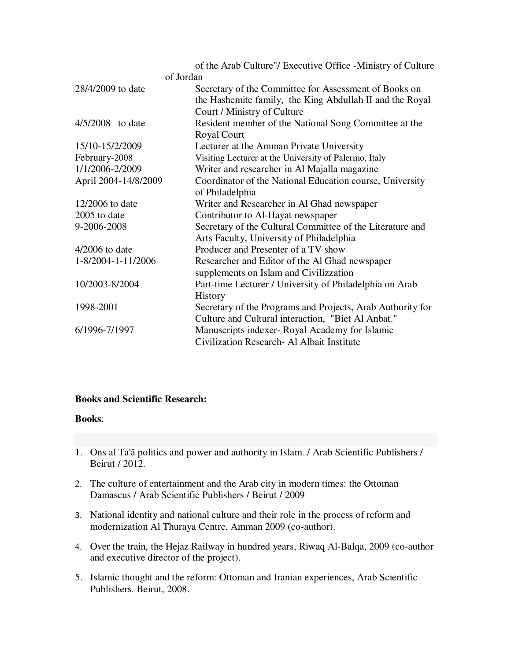|                      | of the Arab Culture"/ Executive Office -Ministry of Culture |
|----------------------|-------------------------------------------------------------|
|                      | of Jordan                                                   |
| 28/4/2009 to date    | Secretary of the Committee for Assessment of Books on       |
|                      | the Hashemite family, the King Abdullah II and the Royal    |
|                      | Court / Ministry of Culture                                 |
| 4/5/2008 to date     | Resident member of the National Song Committee at the       |
|                      | Royal Court                                                 |
| 15/10-15/2/2009      | Lecturer at the Amman Private University                    |
| February-2008        | Visiting Lecturer at the University of Palermo, Italy       |
| 1/1/2006-2/2009      | Writer and researcher in Al Majalla magazine                |
| April 2004-14/8/2009 | Coordinator of the National Education course, University    |
|                      | of Philadelphia                                             |
| 12/2006 to date      | Writer and Researcher in Al Ghad newspaper                  |
| 2005 to date         | Contributor to Al-Hayat newspaper                           |
| 9-2006-2008          | Secretary of the Cultural Committee of the Literature and   |
|                      | Arts Faculty, University of Philadelphia                    |
| $4/2006$ to date     | Producer and Presenter of a TV show                         |
| 1-8/2004-1-11/2006   | Researcher and Editor of the Al Ghad newspaper              |
|                      | supplements on Islam and Civilizzation                      |
| 10/2003-8/2004       | Part-time Lecturer / University of Philadelphia on Arab     |
|                      | History                                                     |
| 1998-2001            | Secretary of the Programs and Projects, Arab Authority for  |
|                      | Culture and Cultural interaction, "Biet Al Anbat."          |
| 6/1996-7/1997        | Manuscripts indexer- Royal Academy for Islamic              |
|                      | Civilization Research - Al Albait Institute                 |

### **Books and Scientific Research:**

#### **Books**:

- 1. Ons al Ta'ă politics and power and authority in Islam. / Arab Scientific Publishers / Beirut / 2012.
- 2. The culture of entertainment and the Arab city in modern times: the Ottoman Damascus / Arab Scientific Publishers / Beirut / 2009
- 3. National identity and national culture and their role in the process of reform and modernization Al Thuraya Centre, Amman 2009 (co-author).
- 4. Over the train, the Hejaz Railway in hundred years, Riwaq Al-Balqa, 2009 (co-author and executive director of the project).
- 5. Islamic thought and the reform: Ottoman and Iranian experiences, Arab Scientific Publishers. Beirut, 2008.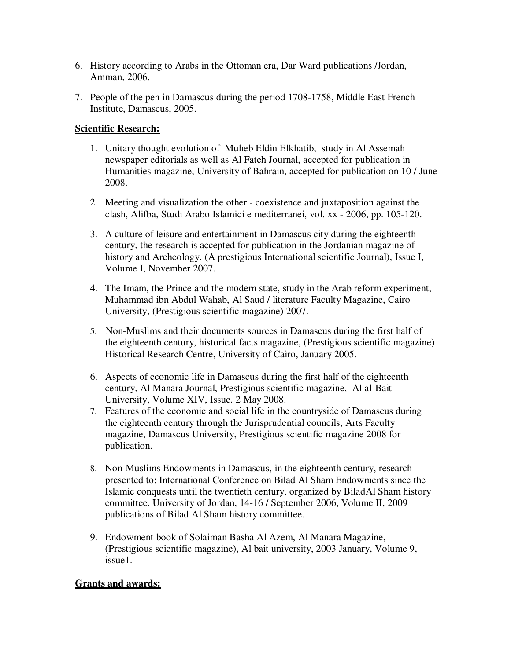- 6. History according to Arabs in the Ottoman era, Dar Ward publications /Jordan, Amman, 2006.
- 7. People of the pen in Damascus during the period 1708-1758, Middle East French Institute, Damascus, 2005.

### **Scientific Research:**

- 1. Unitary thought evolution of Muheb Eldin Elkhatib, study in Al Assemah newspaper editorials as well as Al Fateh Journal, accepted for publication in Humanities magazine, University of Bahrain, accepted for publication on 10 / June 2008.
- 2. Meeting and visualization the other coexistence and juxtaposition against the clash, Alifba, Studi Arabo Islamici e mediterranei, vol. xx - 2006, pp. 105-120.
- 3. A culture of leisure and entertainment in Damascus city during the eighteenth century, the research is accepted for publication in the Jordanian magazine of history and Archeology. (A prestigious International scientific Journal), Issue I, Volume I, November 2007.
- 4. The Imam, the Prince and the modern state, study in the Arab reform experiment, Muhammad ibn Abdul Wahab, Al Saud / literature Faculty Magazine, Cairo University, (Prestigious scientific magazine) 2007.
- 5. Non-Muslims and their documents sources in Damascus during the first half of the eighteenth century, historical facts magazine, (Prestigious scientific magazine) Historical Research Centre, University of Cairo, January 2005.
- 6. Aspects of economic life in Damascus during the first half of the eighteenth century, Al Manara Journal, Prestigious scientific magazine, Al al-Bait University, Volume XIV, Issue. 2 May 2008.
- 7. Features of the economic and social life in the countryside of Damascus during the eighteenth century through the Jurisprudential councils, Arts Faculty magazine, Damascus University, Prestigious scientific magazine 2008 for publication.
- 8. Non-Muslims Endowments in Damascus, in the eighteenth century, research presented to: International Conference on Bilad Al Sham Endowments since the Islamic conquests until the twentieth century, organized by BiladAl Sham history committee. University of Jordan, 14-16 / September 2006, Volume II, 2009 publications of Bilad Al Sham history committee.
- 9. Endowment book of Solaiman Basha Al Azem, Al Manara Magazine, (Prestigious scientific magazine), Al bait university, 2003 January, Volume 9, issue1.

### **Grants and awards:**